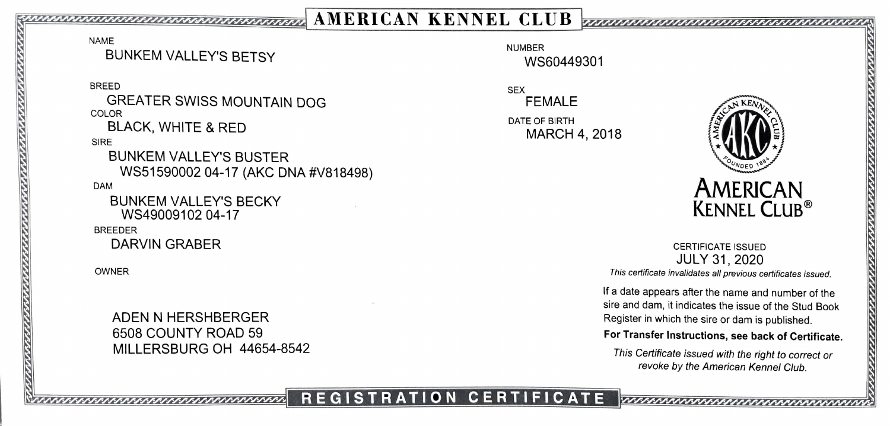## 22.22222zz2220 R AMERICAN KENNEL CLUB \_zzna a n z

NAME

BUNKEM VALLEY'S BETSY WS60449301

BREED SEX GREATER SWISS MOUNTAIN DOG FEMALE COLOR<br>DIACK MULITE SOFFICE

SIRE

BUNKEM VALLEY'S BUSTER WS51590002 04-17 (AKC DNA #V818498)  $\begin{matrix} \sqrt{2} & \sqrt{2} & \sqrt{2} & \sqrt{2} & \sqrt{2} \\ \sqrt{2} & \sqrt{2} & \sqrt{2} & \sqrt{2} & \sqrt{2} \\ \sqrt{2} & \sqrt{2} & \sqrt{2} & \sqrt{2} & \sqrt{2} \end{matrix}$ DAM

BUNKEM VALLEY's BECKY WS49009102 04-17

BREEDER

DARVIN GRABER CERTIFICATE ISSUED

6508 COUNTY ROAD 59 MILLERSBURG OH 44654-8542

BLACK, WHITE & RED MARCH 4, 2018



JULY 31, 2020 This certificate invalidates all previous certificates issued OWNER

If a date appears after the name and number of the sire and dam, it indicates the issue of the Stud Book ADEN N HERSHBERGER **in the single Setting The Second ADEN N** Register in which the sire or dam is published.

## For Transfer Instructions, see back of Certificate.

This Certificate issued with the right to correct or revoke by the American Kennel Club.